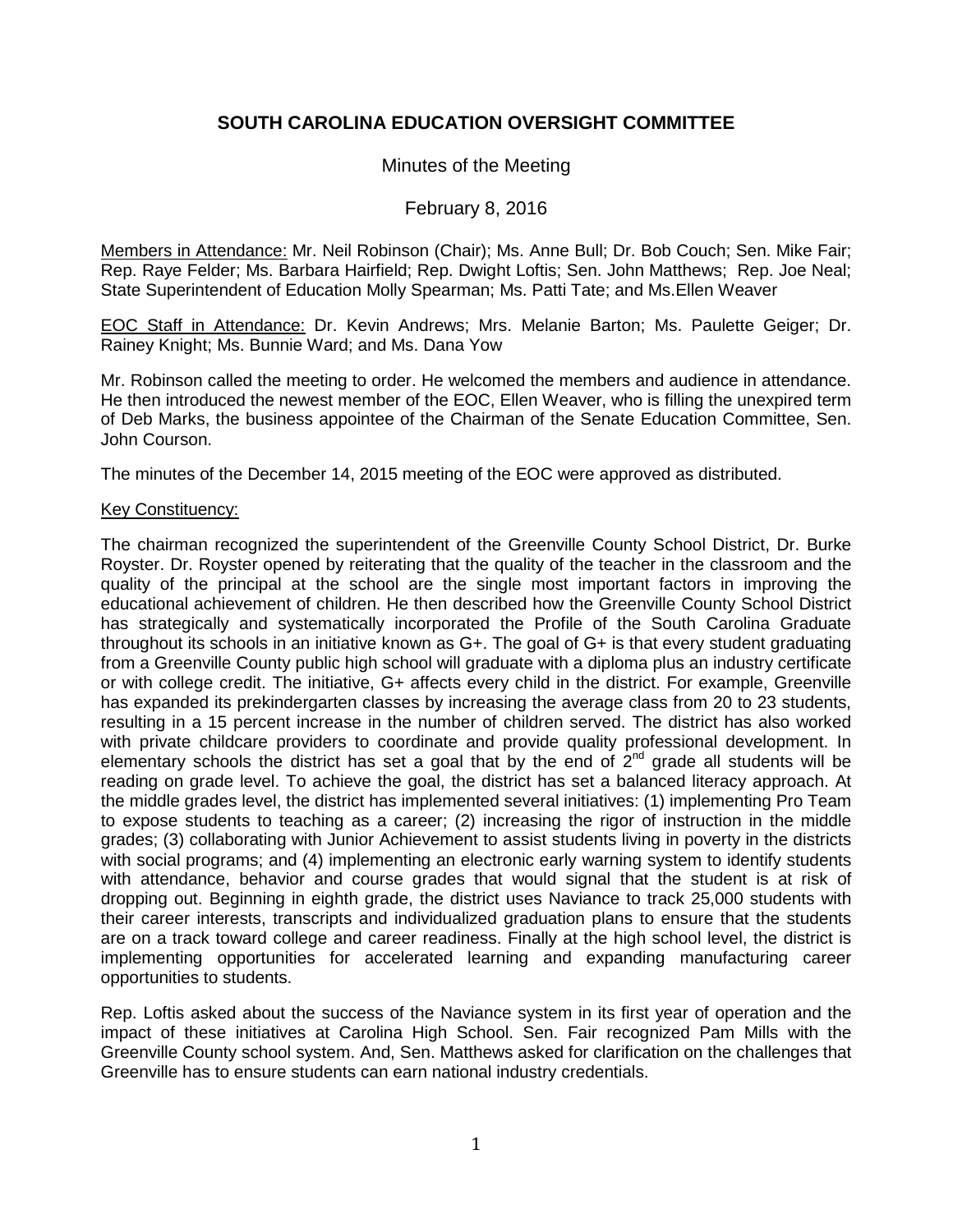# **SOUTH CAROLINA EDUCATION OVERSIGHT COMMITTEE**

# Minutes of the Meeting

# February 8, 2016

Members in Attendance: Mr. Neil Robinson (Chair); Ms. Anne Bull; Dr. Bob Couch; Sen. Mike Fair; Rep. Raye Felder; Ms. Barbara Hairfield; Rep. Dwight Loftis; Sen. John Matthews; Rep. Joe Neal; State Superintendent of Education Molly Spearman; Ms. Patti Tate; and Ms.Ellen Weaver

EOC Staff in Attendance: Dr. Kevin Andrews; Mrs. Melanie Barton; Ms. Paulette Geiger; Dr. Rainey Knight; Ms. Bunnie Ward; and Ms. Dana Yow

Mr. Robinson called the meeting to order. He welcomed the members and audience in attendance. He then introduced the newest member of the EOC, Ellen Weaver, who is filling the unexpired term of Deb Marks, the business appointee of the Chairman of the Senate Education Committee, Sen. John Courson.

The minutes of the December 14, 2015 meeting of the EOC were approved as distributed.

#### Key Constituency:

The chairman recognized the superintendent of the Greenville County School District, Dr. Burke Royster. Dr. Royster opened by reiterating that the quality of the teacher in the classroom and the quality of the principal at the school are the single most important factors in improving the educational achievement of children. He then described how the Greenville County School District has strategically and systematically incorporated the Profile of the South Carolina Graduate throughout its schools in an initiative known as G+. The goal of G+ is that every student graduating from a Greenville County public high school will graduate with a diploma plus an industry certificate or with college credit. The initiative, G+ affects every child in the district. For example, Greenville has expanded its prekindergarten classes by increasing the average class from 20 to 23 students, resulting in a 15 percent increase in the number of children served. The district has also worked with private childcare providers to coordinate and provide quality professional development. In elementary schools the district has set a goal that by the end of  $2<sup>nd</sup>$  grade all students will be reading on grade level. To achieve the goal, the district has set a balanced literacy approach. At the middle grades level, the district has implemented several initiatives: (1) implementing Pro Team to expose students to teaching as a career; (2) increasing the rigor of instruction in the middle grades; (3) collaborating with Junior Achievement to assist students living in poverty in the districts with social programs; and (4) implementing an electronic early warning system to identify students with attendance, behavior and course grades that would signal that the student is at risk of dropping out. Beginning in eighth grade, the district uses Naviance to track 25,000 students with their career interests, transcripts and individualized graduation plans to ensure that the students are on a track toward college and career readiness. Finally at the high school level, the district is implementing opportunities for accelerated learning and expanding manufacturing career opportunities to students.

Rep. Loftis asked about the success of the Naviance system in its first year of operation and the impact of these initiatives at Carolina High School. Sen. Fair recognized Pam Mills with the Greenville County school system. And, Sen. Matthews asked for clarification on the challenges that Greenville has to ensure students can earn national industry credentials.